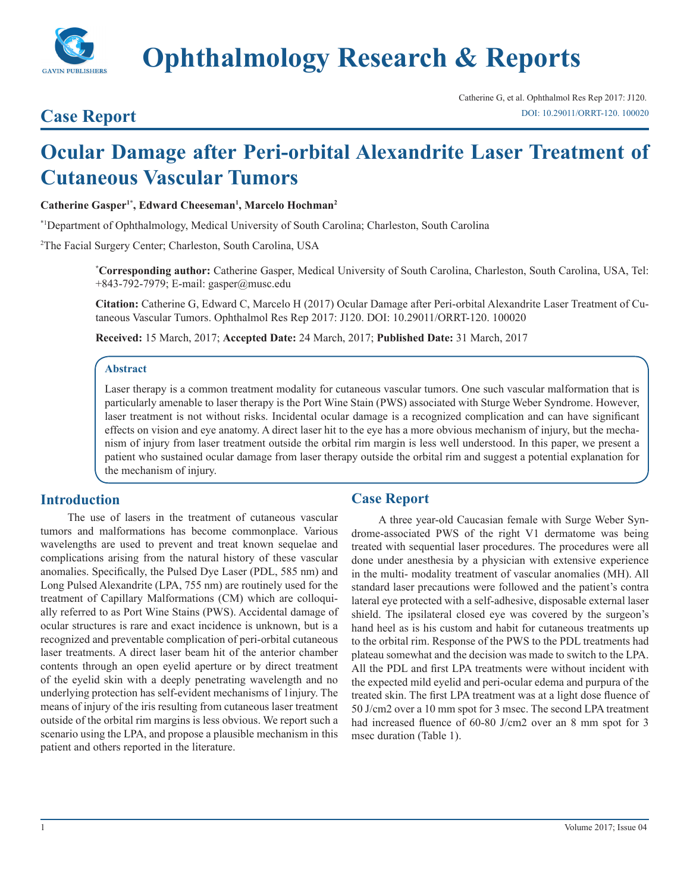

**Ophthalmology Research & Reports**

## **Case Report**

# **Ocular Damage after Peri-orbital Alexandrite Laser Treatment of Cutaneous Vascular Tumors**

**Catherine Gasper1\*, Edward Cheeseman1 , Marcelo Hochman2**

\*1Department of Ophthalmology, Medical University of South Carolina; Charleston, South Carolina

2 The Facial Surgery Center; Charleston, South Carolina, USA

**\* Corresponding author:** Catherine Gasper, Medical University of South Carolina, Charleston, South Carolina, USA, Tel: +843-792-7979; E-mail: gasper@musc.edu

**Citation:** Catherine G, Edward C, Marcelo H (2017) Ocular Damage after Peri-orbital Alexandrite Laser Treatment of Cutaneous Vascular Tumors. Ophthalmol Res Rep 2017: J120. DOI: 10.29011/ORRT-120. 100020

**Received:** 15 March, 2017; **Accepted Date:** 24 March, 2017; **Published Date:** 31 March, 2017

#### **Abstract**

Laser therapy is a common treatment modality for cutaneous vascular tumors. One such vascular malformation that is particularly amenable to laser therapy is the Port Wine Stain (PWS) associated with Sturge Weber Syndrome. However, laser treatment is not without risks. Incidental ocular damage is a recognized complication and can have significant effects on vision and eye anatomy. A direct laser hit to the eye has a more obvious mechanism of injury, but the mechanism of injury from laser treatment outside the orbital rim margin is less well understood. In this paper, we present a patient who sustained ocular damage from laser therapy outside the orbital rim and suggest a potential explanation for the mechanism of injury.

#### **Introduction**

The use of lasers in the treatment of cutaneous vascular tumors and malformations has become commonplace. Various wavelengths are used to prevent and treat known sequelae and complications arising from the natural history of these vascular anomalies. Specifically, the Pulsed Dye Laser (PDL, 585 nm) and Long Pulsed Alexandrite (LPA, 755 nm) are routinely used for the treatment of Capillary Malformations (CM) which are colloquially referred to as Port Wine Stains (PWS). Accidental damage of ocular structures is rare and exact incidence is unknown, but is a recognized and preventable complication of peri-orbital cutaneous laser treatments. A direct laser beam hit of the anterior chamber contents through an open eyelid aperture or by direct treatment of the eyelid skin with a deeply penetrating wavelength and no underlying protection has self-evident mechanisms of 1injury. The means of injury of the iris resulting from cutaneous laser treatment outside of the orbital rim margins is less obvious. We report such a scenario using the LPA, and propose a plausible mechanism in this patient and others reported in the literature.

#### **Case Report**

A three year-old Caucasian female with Surge Weber Syndrome-associated PWS of the right V1 dermatome was being treated with sequential laser procedures. The procedures were all done under anesthesia by a physician with extensive experience in the multi- modality treatment of vascular anomalies (MH). All standard laser precautions were followed and the patient's contra lateral eye protected with a self-adhesive, disposable external laser shield. The ipsilateral closed eye was covered by the surgeon's hand heel as is his custom and habit for cutaneous treatments up to the orbital rim. Response of the PWS to the PDL treatments had plateau somewhat and the decision was made to switch to the LPA. All the PDL and first LPA treatments were without incident with the expected mild eyelid and peri-ocular edema and purpura of the treated skin. The first LPA treatment was at a light dose fluence of 50 J/cm2 over a 10 mm spot for 3 msec. The second LPA treatment had increased fluence of 60-80 J/cm2 over an 8 mm spot for 3 msec duration (Table 1).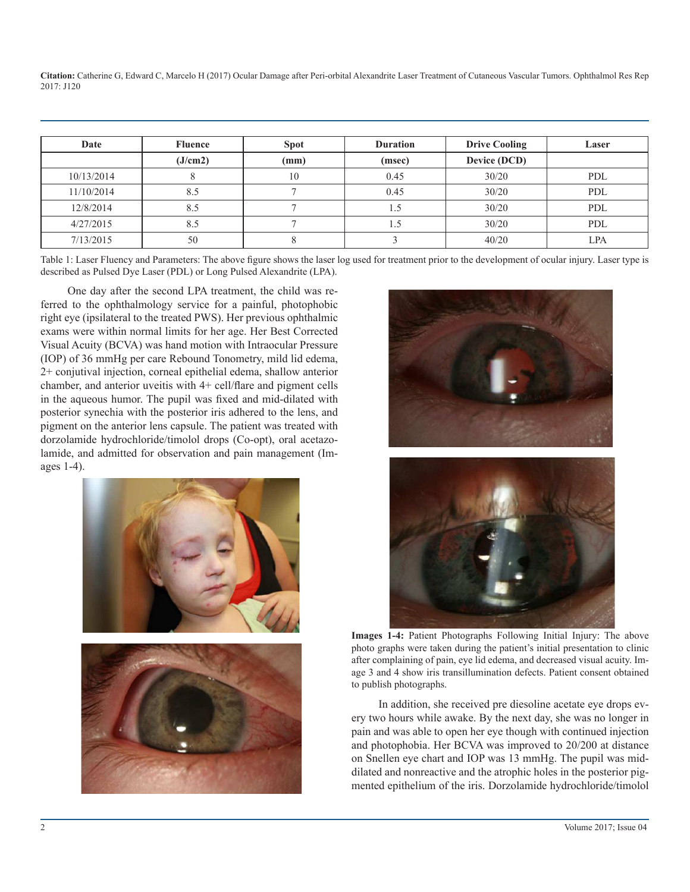**Citation:** Catherine G, Edward C, Marcelo H (2017) Ocular Damage after Peri-orbital Alexandrite Laser Treatment of Cutaneous Vascular Tumors. Ophthalmol Res Rep 2017: J120

| Date       | <b>Fluence</b> | <b>Spot</b> | <b>Duration</b> | <b>Drive Cooling</b> | Laser      |
|------------|----------------|-------------|-----------------|----------------------|------------|
|            | (J/cm2)        | (mm)        | (msec)          | Device (DCD)         |            |
| 10/13/2014 |                | 10          | 0.45            | 30/20                | <b>PDL</b> |
| 11/10/2014 | 8.5            |             | 0.45            | 30/20                | <b>PDL</b> |
| 12/8/2014  | 8.5            |             |                 | 30/20                | <b>PDL</b> |
| 4/27/2015  | 8.5            |             |                 | 30/20                | <b>PDL</b> |
| 7/13/2015  | 50             |             |                 | 40/20                | LPA        |

Table 1: Laser Fluency and Parameters: The above figure shows the laser log used for treatment prior to the development of ocular injury. Laser type is described as Pulsed Dye Laser (PDL) or Long Pulsed Alexandrite (LPA).

One day after the second LPA treatment, the child was referred to the ophthalmology service for a painful, photophobic right eye (ipsilateral to the treated PWS). Her previous ophthalmic exams were within normal limits for her age. Her Best Corrected Visual Acuity (BCVA) was hand motion with Intraocular Pressure (IOP) of 36 mmHg per care Rebound Tonometry, mild lid edema, 2+ conjutival injection, corneal epithelial edema, shallow anterior chamber, and anterior uveitis with 4+ cell/flare and pigment cells in the aqueous humor. The pupil was fixed and mid-dilated with posterior synechia with the posterior iris adhered to the lens, and pigment on the anterior lens capsule. The patient was treated with dorzolamide hydrochloride/timolol drops (Co-opt), oral acetazolamide, and admitted for observation and pain management (Images 1-4).







**Images 1-4:** Patient Photographs Following Initial Injury: The above photo graphs were taken during the patient's initial presentation to clinic after complaining of pain, eye lid edema, and decreased visual acuity. Image 3 and 4 show iris transillumination defects. Patient consent obtained to publish photographs.

In addition, she received pre diesoline acetate eye drops every two hours while awake. By the next day, she was no longer in pain and was able to open her eye though with continued injection and photophobia. Her BCVA was improved to 20/200 at distance on Snellen eye chart and IOP was 13 mmHg. The pupil was middilated and nonreactive and the atrophic holes in the posterior pigmented epithelium of the iris. Dorzolamide hydrochloride/timolol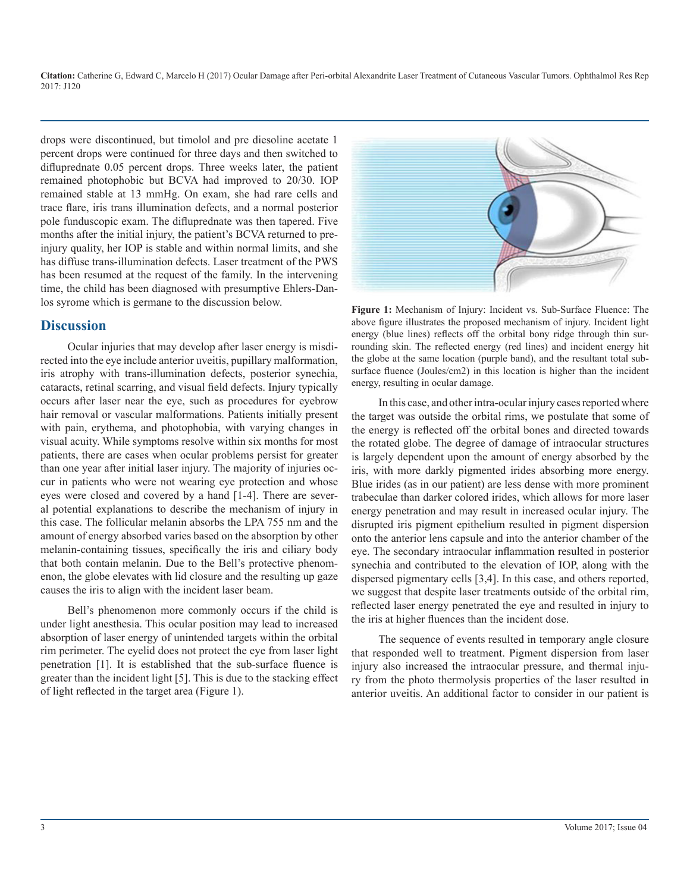**Citation:** Catherine G, Edward C, Marcelo H (2017) Ocular Damage after Peri-orbital Alexandrite Laser Treatment of Cutaneous Vascular Tumors. Ophthalmol Res Rep 2017: J120

drops were discontinued, but timolol and pre diesoline acetate 1 percent drops were continued for three days and then switched to difluprednate 0.05 percent drops. Three weeks later, the patient remained photophobic but BCVA had improved to 20/30. IOP remained stable at 13 mmHg. On exam, she had rare cells and trace flare, iris trans illumination defects, and a normal posterior pole funduscopic exam. The difluprednate was then tapered. Five months after the initial injury, the patient's BCVA returned to preinjury quality, her IOP is stable and within normal limits, and she has diffuse trans-illumination defects. Laser treatment of the PWS has been resumed at the request of the family. In the intervening time, the child has been diagnosed with presumptive Ehlers-Danlos syrome which is germane to the discussion below.

### **Discussion**

Ocular injuries that may develop after laser energy is misdirected into the eye include anterior uveitis, pupillary malformation, iris atrophy with trans-illumination defects, posterior synechia, cataracts, retinal scarring, and visual field defects. Injury typically occurs after laser near the eye, such as procedures for eyebrow hair removal or vascular malformations. Patients initially present with pain, erythema, and photophobia, with varying changes in visual acuity. While symptoms resolve within six months for most patients, there are cases when ocular problems persist for greater than one year after initial laser injury. The majority of injuries occur in patients who were not wearing eye protection and whose eyes were closed and covered by a hand [1-4]. There are several potential explanations to describe the mechanism of injury in this case. The follicular melanin absorbs the LPA 755 nm and the amount of energy absorbed varies based on the absorption by other melanin-containing tissues, specifically the iris and ciliary body that both contain melanin. Due to the Bell's protective phenomenon, the globe elevates with lid closure and the resulting up gaze causes the iris to align with the incident laser beam.

Bell's phenomenon more commonly occurs if the child is under light anesthesia. This ocular position may lead to increased absorption of laser energy of unintended targets within the orbital rim perimeter. The eyelid does not protect the eye from laser light penetration [1]. It is established that the sub-surface fluence is greater than the incident light [5]. This is due to the stacking effect of light reflected in the target area (Figure 1).



**Figure 1:** Mechanism of Injury: Incident vs. Sub-Surface Fluence: The above figure illustrates the proposed mechanism of injury. Incident light energy (blue lines) reflects off the orbital bony ridge through thin surrounding skin. The reflected energy (red lines) and incident energy hit the globe at the same location (purple band), and the resultant total subsurface fluence (Joules/cm2) in this location is higher than the incident energy, resulting in ocular damage.

In this case, and other intra-ocular injury cases reported where the target was outside the orbital rims, we postulate that some of the energy is reflected off the orbital bones and directed towards the rotated globe. The degree of damage of intraocular structures is largely dependent upon the amount of energy absorbed by the iris, with more darkly pigmented irides absorbing more energy. Blue irides (as in our patient) are less dense with more prominent trabeculae than darker colored irides, which allows for more laser energy penetration and may result in increased ocular injury. The disrupted iris pigment epithelium resulted in pigment dispersion onto the anterior lens capsule and into the anterior chamber of the eye. The secondary intraocular inflammation resulted in posterior synechia and contributed to the elevation of IOP, along with the dispersed pigmentary cells [3,4]. In this case, and others reported, we suggest that despite laser treatments outside of the orbital rim, reflected laser energy penetrated the eye and resulted in injury to the iris at higher fluences than the incident dose.

The sequence of events resulted in temporary angle closure that responded well to treatment. Pigment dispersion from laser injury also increased the intraocular pressure, and thermal injury from the photo thermolysis properties of the laser resulted in anterior uveitis. An additional factor to consider in our patient is